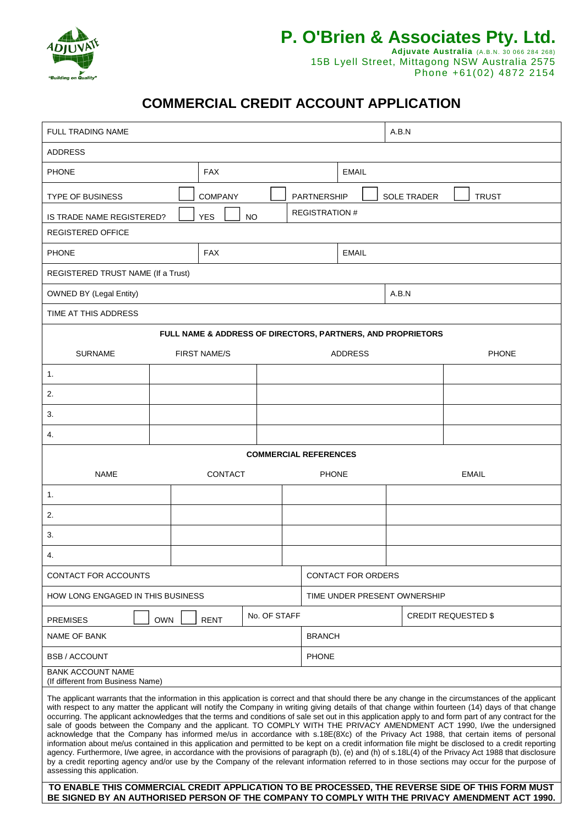

# **P. O'Brien & Associates Pty. Ltd. Adjuvate Australia** (A.B.N. 30 066 284 268)

15B Lyell Street, Mittagong NSW Australia 2575 Phone +61(02) 4872 2154

# **COMMERCIAL CREDIT ACCOUNT APPLICATION**

| <b>FULL TRADING NAME</b>                                                                                                                                                                                                                                                                                                                                                                                                                                                                                                                                                                                                                                                                                                                                                                                                                                                                                                                                                                                                                                                                                                                                                                                                                                                                                                                      |  |                     |              |                    |                              | A.B.N              |              |  |  |
|-----------------------------------------------------------------------------------------------------------------------------------------------------------------------------------------------------------------------------------------------------------------------------------------------------------------------------------------------------------------------------------------------------------------------------------------------------------------------------------------------------------------------------------------------------------------------------------------------------------------------------------------------------------------------------------------------------------------------------------------------------------------------------------------------------------------------------------------------------------------------------------------------------------------------------------------------------------------------------------------------------------------------------------------------------------------------------------------------------------------------------------------------------------------------------------------------------------------------------------------------------------------------------------------------------------------------------------------------|--|---------------------|--------------|--------------------|------------------------------|--------------------|--------------|--|--|
| <b>ADDRESS</b>                                                                                                                                                                                                                                                                                                                                                                                                                                                                                                                                                                                                                                                                                                                                                                                                                                                                                                                                                                                                                                                                                                                                                                                                                                                                                                                                |  |                     |              |                    |                              |                    |              |  |  |
| <b>FAX</b><br><b>PHONE</b>                                                                                                                                                                                                                                                                                                                                                                                                                                                                                                                                                                                                                                                                                                                                                                                                                                                                                                                                                                                                                                                                                                                                                                                                                                                                                                                    |  |                     |              |                    | <b>EMAIL</b>                 |                    |              |  |  |
| <b>TYPE OF BUSINESS</b>                                                                                                                                                                                                                                                                                                                                                                                                                                                                                                                                                                                                                                                                                                                                                                                                                                                                                                                                                                                                                                                                                                                                                                                                                                                                                                                       |  | <b>COMPANY</b>      |              | <b>PARTNERSHIP</b> |                              | <b>SOLE TRADER</b> | <b>TRUST</b> |  |  |
| IS TRADE NAME REGISTERED?                                                                                                                                                                                                                                                                                                                                                                                                                                                                                                                                                                                                                                                                                                                                                                                                                                                                                                                                                                                                                                                                                                                                                                                                                                                                                                                     |  | <b>YES</b>          | <b>NO</b>    |                    | <b>REGISTRATION #</b>        |                    |              |  |  |
| REGISTERED OFFICE                                                                                                                                                                                                                                                                                                                                                                                                                                                                                                                                                                                                                                                                                                                                                                                                                                                                                                                                                                                                                                                                                                                                                                                                                                                                                                                             |  |                     |              |                    |                              |                    |              |  |  |
| <b>PHONE</b><br><b>FAX</b>                                                                                                                                                                                                                                                                                                                                                                                                                                                                                                                                                                                                                                                                                                                                                                                                                                                                                                                                                                                                                                                                                                                                                                                                                                                                                                                    |  |                     |              |                    | <b>EMAIL</b>                 |                    |              |  |  |
| REGISTERED TRUST NAME (If a Trust)                                                                                                                                                                                                                                                                                                                                                                                                                                                                                                                                                                                                                                                                                                                                                                                                                                                                                                                                                                                                                                                                                                                                                                                                                                                                                                            |  |                     |              |                    |                              |                    |              |  |  |
| <b>OWNED BY (Legal Entity)</b>                                                                                                                                                                                                                                                                                                                                                                                                                                                                                                                                                                                                                                                                                                                                                                                                                                                                                                                                                                                                                                                                                                                                                                                                                                                                                                                |  |                     |              | A.B.N              |                              |                    |              |  |  |
| TIME AT THIS ADDRESS                                                                                                                                                                                                                                                                                                                                                                                                                                                                                                                                                                                                                                                                                                                                                                                                                                                                                                                                                                                                                                                                                                                                                                                                                                                                                                                          |  |                     |              |                    |                              |                    |              |  |  |
| FULL NAME & ADDRESS OF DIRECTORS, PARTNERS, AND PROPRIETORS                                                                                                                                                                                                                                                                                                                                                                                                                                                                                                                                                                                                                                                                                                                                                                                                                                                                                                                                                                                                                                                                                                                                                                                                                                                                                   |  |                     |              |                    |                              |                    |              |  |  |
| <b>SURNAME</b>                                                                                                                                                                                                                                                                                                                                                                                                                                                                                                                                                                                                                                                                                                                                                                                                                                                                                                                                                                                                                                                                                                                                                                                                                                                                                                                                |  | <b>FIRST NAME/S</b> |              |                    | <b>ADDRESS</b>               |                    | <b>PHONE</b> |  |  |
| 1.                                                                                                                                                                                                                                                                                                                                                                                                                                                                                                                                                                                                                                                                                                                                                                                                                                                                                                                                                                                                                                                                                                                                                                                                                                                                                                                                            |  |                     |              |                    |                              |                    |              |  |  |
| 2.                                                                                                                                                                                                                                                                                                                                                                                                                                                                                                                                                                                                                                                                                                                                                                                                                                                                                                                                                                                                                                                                                                                                                                                                                                                                                                                                            |  |                     |              |                    |                              |                    |              |  |  |
| 3.                                                                                                                                                                                                                                                                                                                                                                                                                                                                                                                                                                                                                                                                                                                                                                                                                                                                                                                                                                                                                                                                                                                                                                                                                                                                                                                                            |  |                     |              |                    |                              |                    |              |  |  |
| 4.                                                                                                                                                                                                                                                                                                                                                                                                                                                                                                                                                                                                                                                                                                                                                                                                                                                                                                                                                                                                                                                                                                                                                                                                                                                                                                                                            |  |                     |              |                    |                              |                    |              |  |  |
| <b>COMMERCIAL REFERENCES</b>                                                                                                                                                                                                                                                                                                                                                                                                                                                                                                                                                                                                                                                                                                                                                                                                                                                                                                                                                                                                                                                                                                                                                                                                                                                                                                                  |  |                     |              |                    |                              |                    |              |  |  |
| <b>NAME</b><br><b>CONTACT</b>                                                                                                                                                                                                                                                                                                                                                                                                                                                                                                                                                                                                                                                                                                                                                                                                                                                                                                                                                                                                                                                                                                                                                                                                                                                                                                                 |  |                     | <b>PHONE</b> |                    | <b>EMAIL</b>                 |                    |              |  |  |
| 1.                                                                                                                                                                                                                                                                                                                                                                                                                                                                                                                                                                                                                                                                                                                                                                                                                                                                                                                                                                                                                                                                                                                                                                                                                                                                                                                                            |  |                     |              |                    |                              |                    |              |  |  |
| 2.                                                                                                                                                                                                                                                                                                                                                                                                                                                                                                                                                                                                                                                                                                                                                                                                                                                                                                                                                                                                                                                                                                                                                                                                                                                                                                                                            |  |                     |              |                    |                              |                    |              |  |  |
| 3.                                                                                                                                                                                                                                                                                                                                                                                                                                                                                                                                                                                                                                                                                                                                                                                                                                                                                                                                                                                                                                                                                                                                                                                                                                                                                                                                            |  |                     |              |                    |                              |                    |              |  |  |
| 4.                                                                                                                                                                                                                                                                                                                                                                                                                                                                                                                                                                                                                                                                                                                                                                                                                                                                                                                                                                                                                                                                                                                                                                                                                                                                                                                                            |  |                     |              |                    |                              |                    |              |  |  |
| CONTACT FOR ACCOUNTS                                                                                                                                                                                                                                                                                                                                                                                                                                                                                                                                                                                                                                                                                                                                                                                                                                                                                                                                                                                                                                                                                                                                                                                                                                                                                                                          |  |                     |              |                    | <b>CONTACT FOR ORDERS</b>    |                    |              |  |  |
| HOW LONG ENGAGED IN THIS BUSINESS                                                                                                                                                                                                                                                                                                                                                                                                                                                                                                                                                                                                                                                                                                                                                                                                                                                                                                                                                                                                                                                                                                                                                                                                                                                                                                             |  |                     |              |                    | TIME UNDER PRESENT OWNERSHIP |                    |              |  |  |
| No. OF STAFF<br><b>OWN</b><br><b>RENT</b><br><b>PREMISES</b>                                                                                                                                                                                                                                                                                                                                                                                                                                                                                                                                                                                                                                                                                                                                                                                                                                                                                                                                                                                                                                                                                                                                                                                                                                                                                  |  |                     |              |                    | <b>CREDIT REQUESTED \$</b>   |                    |              |  |  |
| <b>NAME OF BANK</b>                                                                                                                                                                                                                                                                                                                                                                                                                                                                                                                                                                                                                                                                                                                                                                                                                                                                                                                                                                                                                                                                                                                                                                                                                                                                                                                           |  |                     |              |                    | <b>BRANCH</b>                |                    |              |  |  |
| <b>BSB / ACCOUNT</b>                                                                                                                                                                                                                                                                                                                                                                                                                                                                                                                                                                                                                                                                                                                                                                                                                                                                                                                                                                                                                                                                                                                                                                                                                                                                                                                          |  |                     |              | <b>PHONE</b>       |                              |                    |              |  |  |
| <b>BANK ACCOUNT NAME</b><br>(If different from Business Name)                                                                                                                                                                                                                                                                                                                                                                                                                                                                                                                                                                                                                                                                                                                                                                                                                                                                                                                                                                                                                                                                                                                                                                                                                                                                                 |  |                     |              |                    |                              |                    |              |  |  |
| The applicant warrants that the information in this application is correct and that should there be any change in the circumstances of the applicant<br>with respect to any matter the applicant will notify the Company in writing giving details of that change within fourteen (14) days of that change<br>occurring. The applicant acknowledges that the terms and conditions of sale set out in this application apply to and form part of any contract for the<br>sale of goods between the Company and the applicant. TO COMPLY WITH THE PRIVACY AMENDMENT ACT 1990, I/we the undersigned<br>acknowledge that the Company has informed me/us in accordance with s.18E(8Xc) of the Privacy Act 1988, that certain items of personal<br>information about me/us contained in this application and permitted to be kept on a credit information file might be disclosed to a credit reporting<br>agency. Furthermore, I/we agree, in accordance with the provisions of paragraph (b), (e) and (h) of s.18L(4) of the Privacy Act 1988 that disclosure<br>by a credit reporting agency and/or use by the Company of the relevant information referred to in those sections may occur for the purpose of<br>assessing this application.<br>TO ENABLE THIS COMMERCIAL CREDIT APPLICATION TO BE PROCESSED, THE REVERSE SIDE OF THIS FORM MUST |  |                     |              |                    |                              |                    |              |  |  |
| BE SIGNED BY AN AUTHORISED PERSON OF THE COMPANY TO COMPLY WITH THE PRIVACY AMENDMENT ACT 1990.                                                                                                                                                                                                                                                                                                                                                                                                                                                                                                                                                                                                                                                                                                                                                                                                                                                                                                                                                                                                                                                                                                                                                                                                                                               |  |                     |              |                    |                              |                    |              |  |  |